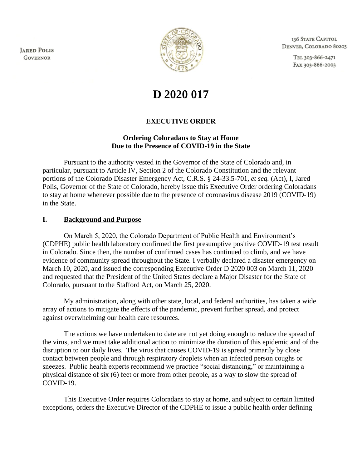**JARED POLIS GOVERNOR** 



136 STATE CAPITOL DENVER, COLORADO 80203

> TEL 303-866-2471 FAX 303-866-2003

# **D 2020 017**

## **EXECUTIVE ORDER**

#### **Ordering Coloradans to Stay at Home Due to the Presence of COVID-19 in the State**

Pursuant to the authority vested in the Governor of the State of Colorado and, in particular, pursuant to Article IV, Section 2 of the Colorado Constitution and the relevant portions of the Colorado Disaster Emergency Act, C.R.S. § 24-33.5-701, *et seq.* (Act), I, Jared Polis, Governor of the State of Colorado, hereby issue this Executive Order ordering Coloradans to stay at home whenever possible due to the presence of coronavirus disease 2019 (COVID-19) in the State.

#### **I. Background and Purpose**

On March 5, 2020, the Colorado Department of Public Health and Environment's (CDPHE) public health laboratory confirmed the first presumptive positive COVID-19 test result in Colorado. Since then, the number of confirmed cases has continued to climb, and we have evidence of community spread throughout the State. I verbally declared a disaster emergency on March 10, 2020, and issued the corresponding Executive Order D 2020 003 on March 11, 2020 and requested that the President of the United States declare a Major Disaster for the State of Colorado, pursuant to the Stafford Act, on March 25, 2020.

My administration, along with other state, local, and federal authorities, has taken a wide array of actions to mitigate the effects of the pandemic, prevent further spread, and protect against overwhelming our health care resources.

The actions we have undertaken to date are not yet doing enough to reduce the spread of the virus, and we must take additional action to minimize the duration of this epidemic and of the disruption to our daily lives. The virus that causes COVID-19 is spread primarily by close contact between people and through respiratory droplets when an infected person coughs or sneezes. Public health experts recommend we practice "social distancing," or maintaining a physical distance of six (6) feet or more from other people, as a way to slow the spread of COVID-19.

This Executive Order requires Coloradans to stay at home, and subject to certain limited exceptions, orders the Executive Director of the CDPHE to issue a public health order defining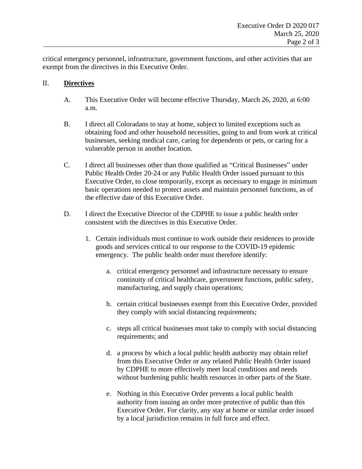critical emergency personnel, infrastructure, government functions, and other activities that are exempt from the directives in this Executive Order.

### II. **Directives**

- A. This Executive Order will become effective Thursday, March 26, 2020, at 6:00 a.m.
- B. I direct all Coloradans to stay at home, subject to limited exceptions such as obtaining food and other household necessities, going to and from work at critical businesses, seeking medical care, caring for dependents or pets, or caring for a vulnerable person in another location.
- C. I direct all businesses other than those qualified as "Critical Businesses" under Public Health Order 20-24 or any Public Health Order issued pursuant to this Executive Order, to close temporarily, except as necessary to engage in minimum basic operations needed to protect assets and maintain personnel functions, as of the effective date of this Executive Order.
- D. I direct the Executive Director of the CDPHE to issue a public health order consistent with the directives in this Executive Order.
	- 1. Certain individuals must continue to work outside their residences to provide goods and services critical to our response to the COVID-19 epidemic emergency. The public health order must therefore identify:
		- a. critical emergency personnel and infrastructure necessary to ensure continuity of critical healthcare, government functions, public safety, manufacturing, and supply chain operations;
		- b. certain critical businesses exempt from this Executive Order, provided they comply with social distancing requirements;
		- c. steps all critical businesses must take to comply with social distancing requirements; and
		- d. a process by which a local public health authority may obtain relief from this Executive Order or any related Public Health Order issued by CDPHE to more effectively meet local conditions and needs without burdening public health resources in other parts of the State.
		- e. Nothing in this Executive Order prevents a local public health authority from issuing an order more protective of public than this Executive Order. For clarity, any stay at home or similar order issued by a local jurisdiction remains in full force and effect.